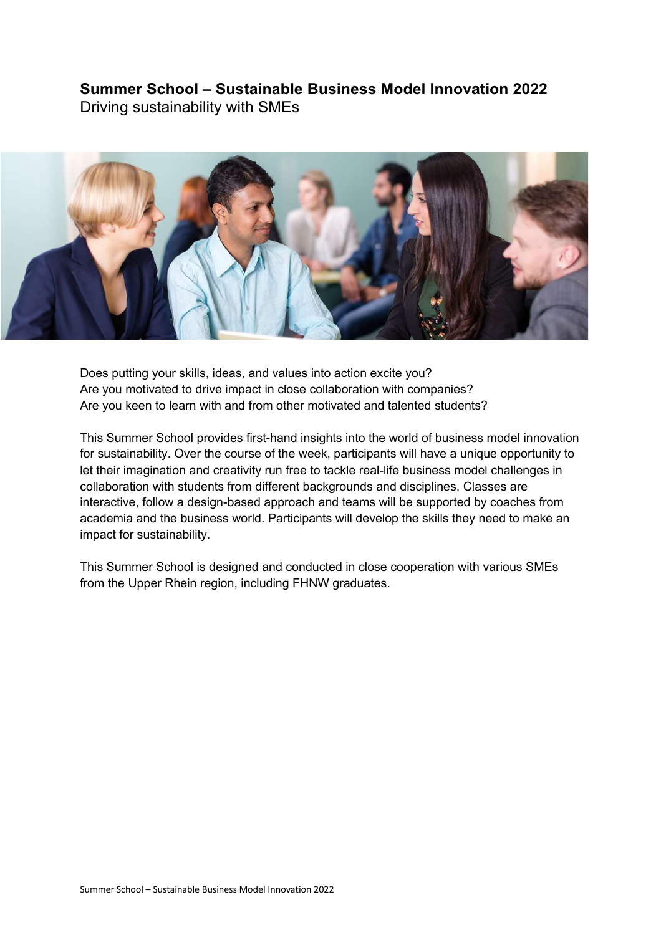## **Summer School – Sustainable Business Model Innovation 2022**

Driving sustainability with SMEs



Does putting your skills, ideas, and values into action excite you? Are you motivated to drive impact in close collaboration with companies? Are you keen to learn with and from other motivated and talented students?

This Summer School provides first-hand insights into the world of business model innovation for sustainability. Over the course of the week, participants will have a unique opportunity to let their imagination and creativity run free to tackle real-life business model challenges in collaboration with students from different backgrounds and disciplines. Classes are interactive, follow a design-based approach and teams will be supported by coaches from academia and the business world. Participants will develop the skills they need to make an impact for sustainability.

This Summer School is designed and conducted in close cooperation with various SMEs from the Upper Rhein region, including FHNW graduates.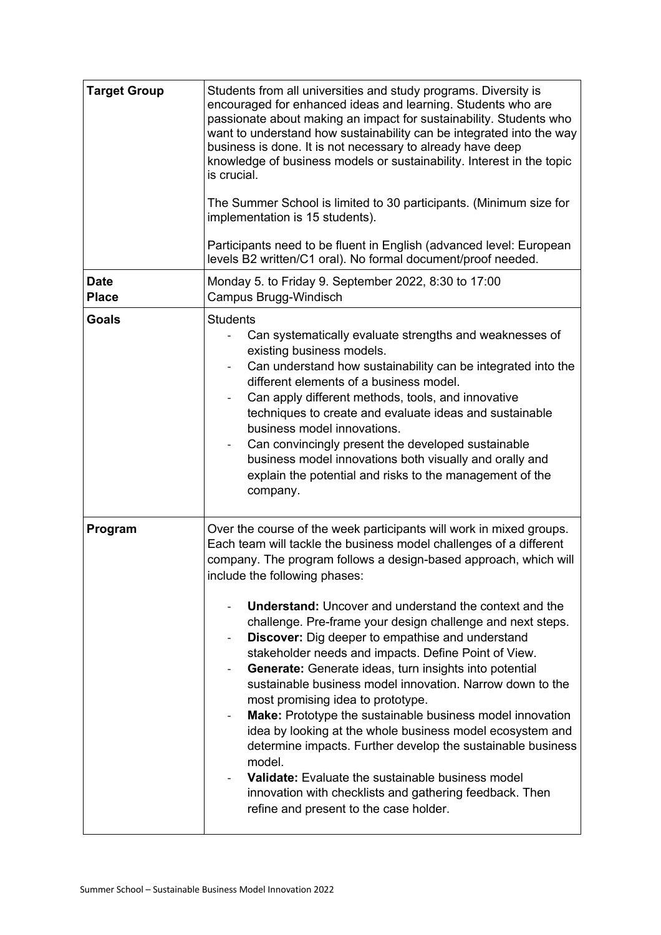| <b>Target Group</b>         | Students from all universities and study programs. Diversity is<br>encouraged for enhanced ideas and learning. Students who are<br>passionate about making an impact for sustainability. Students who<br>want to understand how sustainability can be integrated into the way<br>business is done. It is not necessary to already have deep<br>knowledge of business models or sustainability. Interest in the topic<br>is crucial.<br>The Summer School is limited to 30 participants. (Minimum size for<br>implementation is 15 students).<br>Participants need to be fluent in English (advanced level: European<br>levels B2 written/C1 oral). No formal document/proof needed.                                                                                                                                                                                                                                                                                                                                                                   |
|-----------------------------|-------------------------------------------------------------------------------------------------------------------------------------------------------------------------------------------------------------------------------------------------------------------------------------------------------------------------------------------------------------------------------------------------------------------------------------------------------------------------------------------------------------------------------------------------------------------------------------------------------------------------------------------------------------------------------------------------------------------------------------------------------------------------------------------------------------------------------------------------------------------------------------------------------------------------------------------------------------------------------------------------------------------------------------------------------|
| <b>Date</b><br><b>Place</b> | Monday 5. to Friday 9. September 2022, 8:30 to 17:00<br>Campus Brugg-Windisch                                                                                                                                                                                                                                                                                                                                                                                                                                                                                                                                                                                                                                                                                                                                                                                                                                                                                                                                                                         |
| <b>Goals</b>                | <b>Students</b><br>Can systematically evaluate strengths and weaknesses of<br>existing business models.<br>Can understand how sustainability can be integrated into the<br>different elements of a business model.<br>Can apply different methods, tools, and innovative<br>techniques to create and evaluate ideas and sustainable<br>business model innovations.<br>Can convincingly present the developed sustainable<br>business model innovations both visually and orally and<br>explain the potential and risks to the management of the<br>company.                                                                                                                                                                                                                                                                                                                                                                                                                                                                                           |
| Program                     | Over the course of the week participants will work in mixed groups.<br>Each team will tackle the business model challenges of a different<br>company. The program follows a design-based approach, which will<br>include the following phases:<br><b>Understand:</b> Uncover and understand the context and the<br>challenge. Pre-frame your design challenge and next steps.<br><b>Discover:</b> Dig deeper to empathise and understand<br>stakeholder needs and impacts. Define Point of View.<br>Generate: Generate ideas, turn insights into potential<br>$\overline{\phantom{a}}$<br>sustainable business model innovation. Narrow down to the<br>most promising idea to prototype.<br>Make: Prototype the sustainable business model innovation<br>idea by looking at the whole business model ecosystem and<br>determine impacts. Further develop the sustainable business<br>model.<br>Validate: Evaluate the sustainable business model<br>innovation with checklists and gathering feedback. Then<br>refine and present to the case holder. |